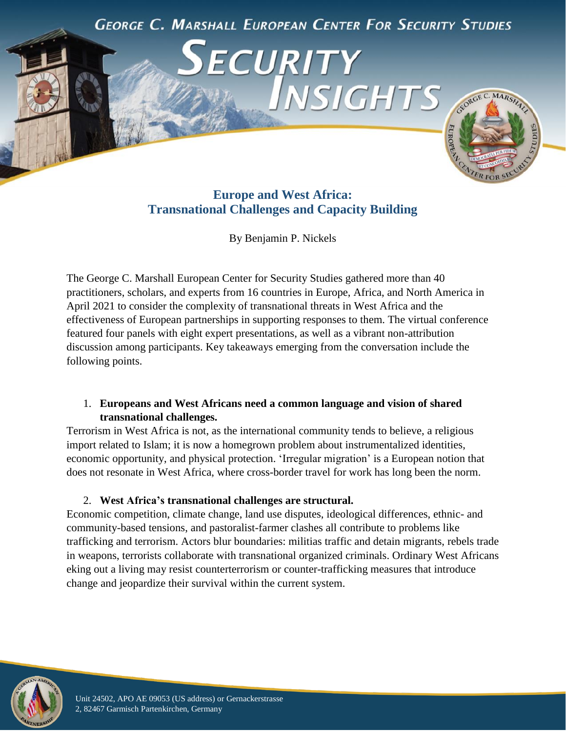

# **Europe and West Africa: Transnational Challenges and Capacity Building**

By Benjamin P. Nickels

The George C. Marshall European Center for Security Studies gathered more than 40 practitioners, scholars, and experts from 16 countries in Europe, Africa, and North America in April 2021 to consider the complexity of transnational threats in West Africa and the effectiveness of European partnerships in supporting responses to them. The virtual conference featured four panels with eight expert presentations, as well as a vibrant non-attribution discussion among participants. Key takeaways emerging from the conversation include the following points.

# 1. **Europeans and West Africans need a common language and vision of shared transnational challenges.**

Terrorism in West Africa is not, as the international community tends to believe, a religious import related to Islam; it is now a homegrown problem about instrumentalized identities, economic opportunity, and physical protection. 'Irregular migration' is a European notion that does not resonate in West Africa, where cross-border travel for work has long been the norm.

# 2. **West Africa's transnational challenges are structural.**

Economic competition, climate change, land use disputes, ideological differences, ethnic- and community-based tensions, and pastoralist-farmer clashes all contribute to problems like trafficking and terrorism. Actors blur boundaries: militias traffic and detain migrants, rebels trade in weapons, terrorists collaborate with transnational organized criminals. Ordinary West Africans eking out a living may resist counterterrorism or counter-trafficking measures that introduce change and jeopardize their survival within the current system.

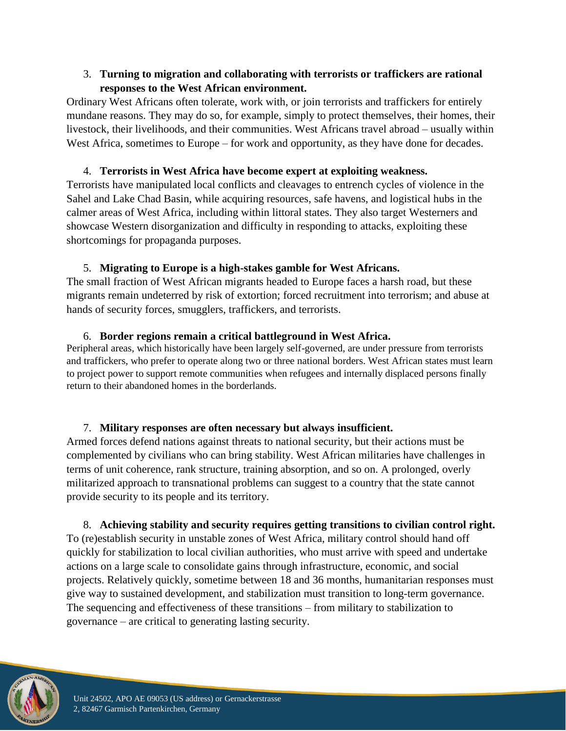# 3. **Turning to migration and collaborating with terrorists or traffickers are rational responses to the West African environment.**

Ordinary West Africans often tolerate, work with, or join terrorists and traffickers for entirely mundane reasons. They may do so, for example, simply to protect themselves, their homes, their livestock, their livelihoods, and their communities. West Africans travel abroad – usually within West Africa, sometimes to Europe – for work and opportunity, as they have done for decades.

# 4. **Terrorists in West Africa have become expert at exploiting weakness.**

Terrorists have manipulated local conflicts and cleavages to entrench cycles of violence in the Sahel and Lake Chad Basin, while acquiring resources, safe havens, and logistical hubs in the calmer areas of West Africa, including within littoral states. They also target Westerners and showcase Western disorganization and difficulty in responding to attacks, exploiting these shortcomings for propaganda purposes.

# 5. **Migrating to Europe is a high-stakes gamble for West Africans.**

The small fraction of West African migrants headed to Europe faces a harsh road, but these migrants remain undeterred by risk of extortion; forced recruitment into terrorism; and abuse at hands of security forces, smugglers, traffickers, and terrorists.

# 6. **Border regions remain a critical battleground in West Africa.**

Peripheral areas, which historically have been largely self-governed, are under pressure from terrorists and traffickers, who prefer to operate along two or three national borders. West African states must learn to project power to support remote communities when refugees and internally displaced persons finally return to their abandoned homes in the borderlands.

# 7. **Military responses are often necessary but always insufficient.**

Armed forces defend nations against threats to national security, but their actions must be complemented by civilians who can bring stability. West African militaries have challenges in terms of unit coherence, rank structure, training absorption, and so on. A prolonged, overly militarized approach to transnational problems can suggest to a country that the state cannot provide security to its people and its territory.

# 8. **Achieving stability and security requires getting transitions to civilian control right.**

To (re)establish security in unstable zones of West Africa, military control should hand off quickly for stabilization to local civilian authorities, who must arrive with speed and undertake actions on a large scale to consolidate gains through infrastructure, economic, and social projects. Relatively quickly, sometime between 18 and 36 months, humanitarian responses must give way to sustained development, and stabilization must transition to long-term governance. The sequencing and effectiveness of these transitions – from military to stabilization to governance – are critical to generating lasting security.

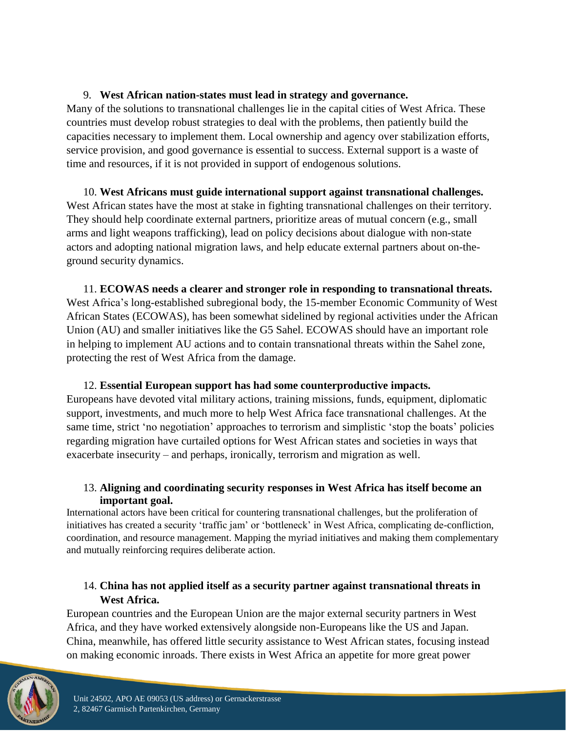#### 9. **West African nation-states must lead in strategy and governance.**

Many of the solutions to transnational challenges lie in the capital cities of West Africa. These countries must develop robust strategies to deal with the problems, then patiently build the capacities necessary to implement them. Local ownership and agency over stabilization efforts, service provision, and good governance is essential to success. External support is a waste of time and resources, if it is not provided in support of endogenous solutions.

10. **West Africans must guide international support against transnational challenges.** West African states have the most at stake in fighting transnational challenges on their territory. They should help coordinate external partners, prioritize areas of mutual concern (e.g., small arms and light weapons trafficking), lead on policy decisions about dialogue with non-state actors and adopting national migration laws, and help educate external partners about on-theground security dynamics.

11. **ECOWAS needs a clearer and stronger role in responding to transnational threats.** West Africa's long-established subregional body, the 15-member Economic Community of West African States (ECOWAS), has been somewhat sidelined by regional activities under the African Union (AU) and smaller initiatives like the G5 Sahel. ECOWAS should have an important role in helping to implement AU actions and to contain transnational threats within the Sahel zone, protecting the rest of West Africa from the damage.

12. **Essential European support has had some counterproductive impacts.** Europeans have devoted vital military actions, training missions, funds, equipment, diplomatic support, investments, and much more to help West Africa face transnational challenges. At the same time, strict 'no negotiation' approaches to terrorism and simplistic 'stop the boats' policies regarding migration have curtailed options for West African states and societies in ways that exacerbate insecurity – and perhaps, ironically, terrorism and migration as well.

#### 13. **Aligning and coordinating security responses in West Africa has itself become an important goal.**

International actors have been critical for countering transnational challenges, but the proliferation of initiatives has created a security 'traffic jam' or 'bottleneck' in West Africa, complicating de-confliction, coordination, and resource management. Mapping the myriad initiatives and making them complementary and mutually reinforcing requires deliberate action.

# 14. **China has not applied itself as a security partner against transnational threats in West Africa.**

European countries and the European Union are the major external security partners in West Africa, and they have worked extensively alongside non-Europeans like the US and Japan. China, meanwhile, has offered little security assistance to West African states, focusing instead on making economic inroads. There exists in West Africa an appetite for more great power